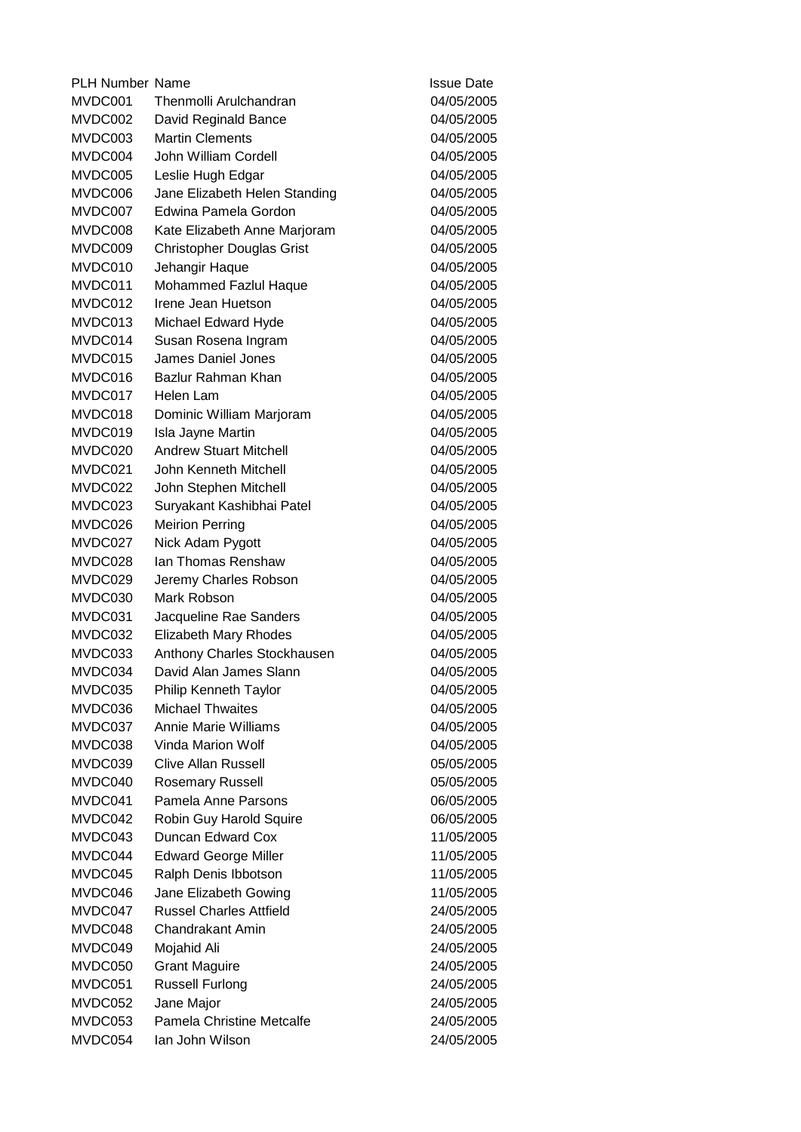PLH Number Name **Issue Date** MVDC001 Thenmolli Arulchandran 04/05/2005 MVDC002 David Reginald Bance 04/05/2005 MVDC003 Martin Clements 04/05/2005 MVDC004 John William Cordell 04/05/2005 MVDC005 Leslie Hugh Edgar 04/05/2005 MVDC006 Jane Elizabeth Helen Standing 04/05/2005 MVDC007 Edwina Pamela Gordon 04/05/2005 MVDC008 Kate Elizabeth Anne Marjoram 04/05/2005 MVDC009 Christopher Douglas Grist 04/05/2005 MVDC010 Jehangir Haque 04/05/2005 MVDC011 Mohammed Fazlul Haque 04/05/2005 MVDC012 Irene Jean Huetson 04/05/2005 MVDC013 Michael Edward Hyde 04/05/2005 MVDC014 Susan Rosena Ingram 04/05/2005 MVDC015 James Daniel Jones 04/05/2005 MVDC016 Bazlur Rahman Khan 04/05/2005 MVDC017 Helen Lam 04/05/2005 MVDC018 Dominic William Marjoram 04/05/2005 MVDC019 Isla Jayne Martin 04/05/2005 MVDC020 Andrew Stuart Mitchell 04/05/2005 MVDC021 John Kenneth Mitchell 04/05/2005 MVDC022 John Stephen Mitchell 04/05/2005 MVDC023 Suryakant Kashibhai Patel 04/05/2005 MVDC026 Meirion Perring 04/05/2005 MVDC027 Nick Adam Pygott 04/05/2005 MVDC028 Ian Thomas Renshaw 04/05/2005 MVDC029 Jeremy Charles Robson 04/05/2005 MVDC030 Mark Robson 04/05/2005 MVDC031 Jacqueline Rae Sanders 04/05/2005 MVDC032 Elizabeth Mary Rhodes 04/05/2005 MVDC033 Anthony Charles Stockhausen 04/05/2005 MVDC034 David Alan James Slann 04/05/2005 MVDC035 Philip Kenneth Taylor 04/05/2005 MVDC036 Michael Thwaites 04/05/2005 MVDC037 Annie Marie Williams 04/05/2005 MVDC038 Vinda Marion Wolf 04/05/2005 MVDC039 Clive Allan Russell 05/05/2005 MVDC040 Rosemary Russell 05/05/2005 MVDC041 Pamela Anne Parsons 06/05/2005 MVDC042 Robin Guy Harold Squire 06/05/2005 MVDC043 Duncan Edward Cox 11/05/2005 MVDC044 Edward George Miller 11/05/2005 MVDC045 Ralph Denis Ibbotson 11/05/2005 MVDC046 Jane Elizabeth Gowing 11/05/2005 MVDC047 Russel Charles Attfield 24/05/2005 MVDC048 Chandrakant Amin 24/05/2005 MVDC049 Mojahid Ali 24/05/2005 MVDC050 Grant Maguire 24/05/2005 MVDC051 Russell Furlong 24/05/2005 MVDC052 Jane Major 24/05/2005 MVDC053 Pamela Christine Metcalfe 24/05/2005 MVDC054 Ian John Wilson 24/05/2005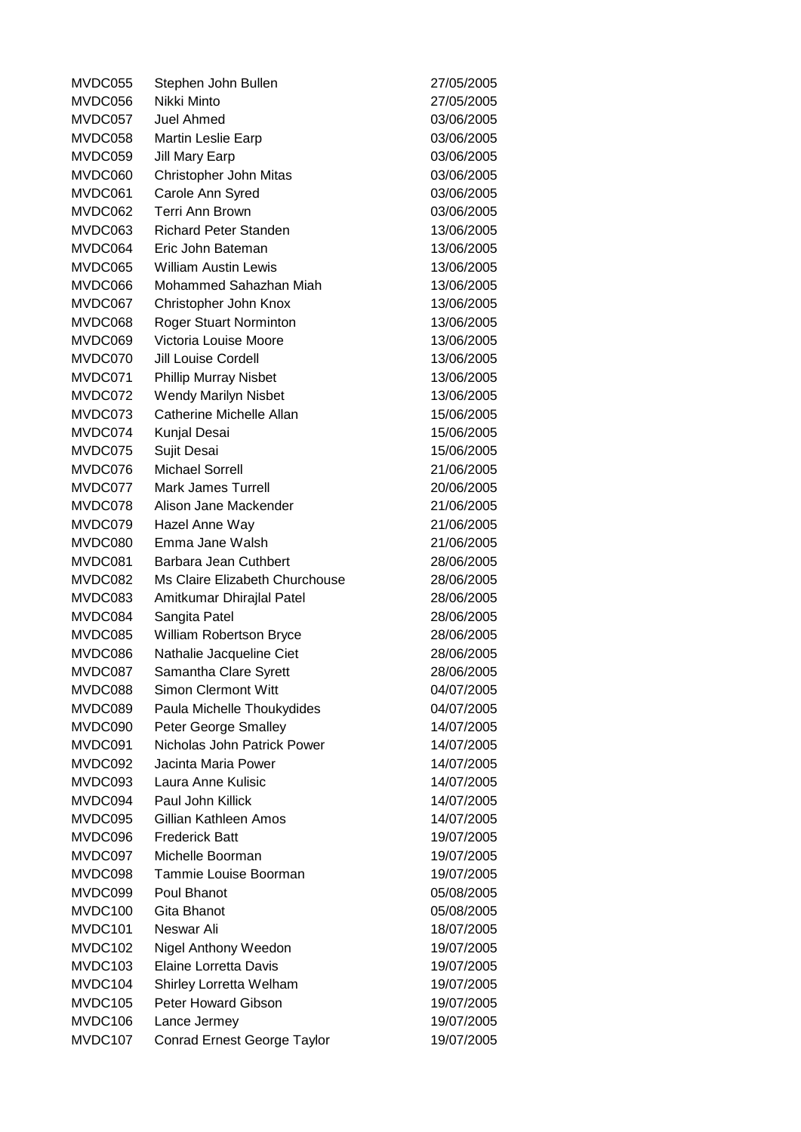MVDC055 Stephen John Bullen 27/05/2005 MVDC056 Nikki Minto 27/05/2005 MVDC057 Juel Ahmed 03/06/2005 MVDC058 Martin Leslie Earp 03/06/2005 MVDC059 Jill Mary Earp 03/06/2005 MVDC060 Christopher John Mitas 03/06/2005 MVDC061 Carole Ann Syred 03/06/2005 MVDC062 Terri Ann Brown 03/06/2005 MVDC063 Richard Peter Standen 13/06/2005 MVDC064 Eric John Bateman 13/06/2005 MVDC065 William Austin Lewis 13/06/2005 MVDC066 Mohammed Sahazhan Miah 13/06/2005 MVDC067 Christopher John Knox 13/06/2005 MVDC068 Roger Stuart Norminton 13/06/2005 MVDC069 Victoria Louise Moore 13/06/2005 MVDC070 Jill Louise Cordell 13/06/2005 MVDC071 Phillip Murray Nisbet 13/06/2005 MVDC072 Wendy Marilyn Nisbet 13/06/2005 MVDC073 Catherine Michelle Allan 15/06/2005 MVDC074 Kunjal Desai 15/06/2005 MVDC075 Sujit Desai 15/06/2005 MVDC076 Michael Sorrell 21/06/2005 MVDC077 Mark James Turrell 20/06/2005 MVDC078 Alison Jane Mackender 21/06/2005 MVDC079 Hazel Anne Way 21/06/2005 MVDC080 Emma Jane Walsh 21/06/2005 MVDC081 Barbara Jean Cuthbert 28/06/2005 MVDC082 Ms Claire Elizabeth Churchouse 28/06/2005 MVDC083 Amitkumar Dhirajlal Patel 28/06/2005 MVDC084 Sangita Patel 28/06/2005 MVDC085 William Robertson Bryce 28/06/2005 MVDC086 Nathalie Jacqueline Ciet 28/06/2005 MVDC087 Samantha Clare Syrett 28/06/2005 MVDC088 Simon Clermont Witt 04/07/2005 MVDC089 Paula Michelle Thoukydides 04/07/2005 MVDC090 Peter George Smalley 14/07/2005 MVDC091 Nicholas John Patrick Power 14/07/2005 MVDC092 Jacinta Maria Power 14/07/2005 MVDC093 Laura Anne Kulisic 14/07/2005 MVDC094 Paul John Killick 14/07/2005 MVDC095 Gillian Kathleen Amos 14/07/2005 MVDC096 Frederick Batt 19/07/2005 MVDC097 Michelle Boorman 19/07/2005 MVDC098 Tammie Louise Boorman 19/07/2005 MVDC099 Poul Bhanot 05/08/2005 MVDC100 Gita Bhanot 05/08/2005 MVDC101 Neswar Ali 18/07/2005 MVDC102 Nigel Anthony Weedon 19/07/2005 MVDC103 Elaine Lorretta Davis 19/07/2005 MVDC104 Shirley Lorretta Welham 19/07/2005 MVDC105 Peter Howard Gibson 19/07/2005 MVDC106 Lance Jermey 19/07/2005 MVDC107 Conrad Ernest George Taylor 19/07/2005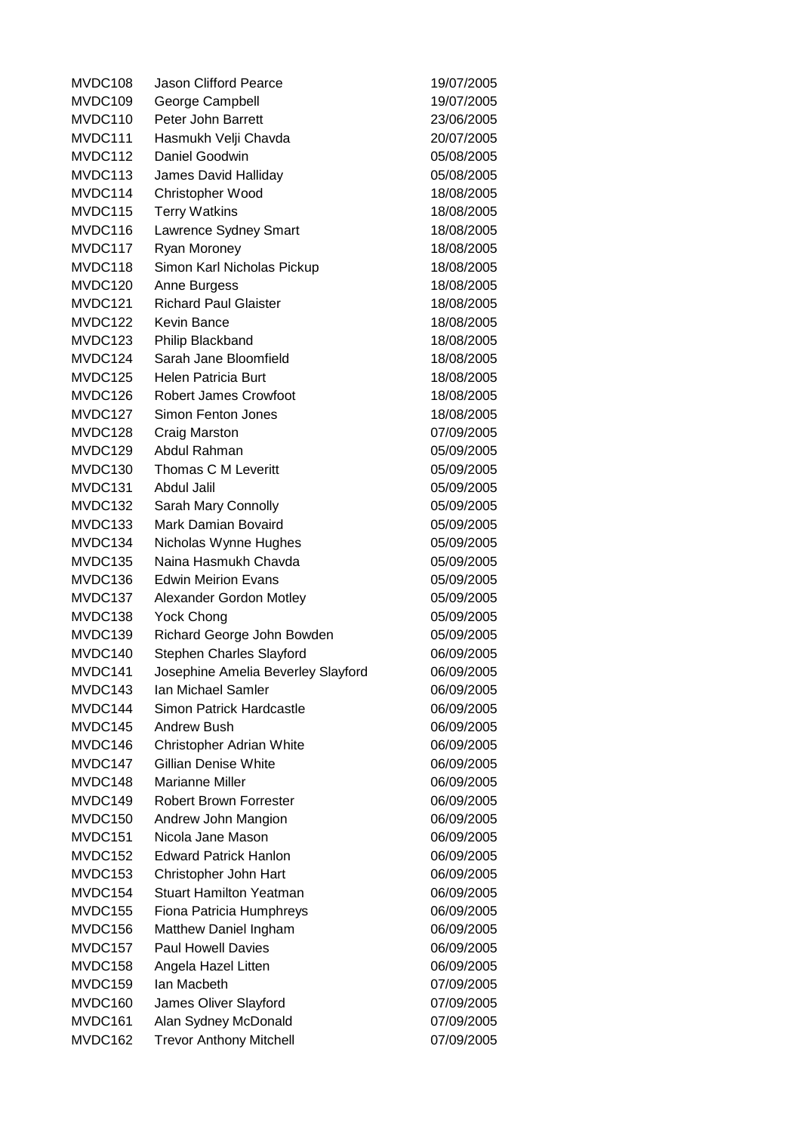| MVDC108 | <b>Jason Clifford Pearce</b>       | 19/07/2005 |
|---------|------------------------------------|------------|
| MVDC109 | George Campbell                    | 19/07/2005 |
| MVDC110 | Peter John Barrett                 | 23/06/2005 |
| MVDC111 | Hasmukh Velji Chavda               | 20/07/2005 |
| MVDC112 | Daniel Goodwin                     | 05/08/2005 |
| MVDC113 | James David Halliday               | 05/08/2005 |
| MVDC114 | Christopher Wood                   | 18/08/2005 |
| MVDC115 | <b>Terry Watkins</b>               | 18/08/2005 |
| MVDC116 | Lawrence Sydney Smart              | 18/08/2005 |
| MVDC117 | Ryan Moroney                       | 18/08/2005 |
| MVDC118 | Simon Karl Nicholas Pickup         | 18/08/2005 |
| MVDC120 | Anne Burgess                       | 18/08/2005 |
| MVDC121 | <b>Richard Paul Glaister</b>       | 18/08/2005 |
| MVDC122 | Kevin Bance                        | 18/08/2005 |
| MVDC123 | Philip Blackband                   | 18/08/2005 |
| MVDC124 | Sarah Jane Bloomfield              | 18/08/2005 |
| MVDC125 | Helen Patricia Burt                | 18/08/2005 |
| MVDC126 | <b>Robert James Crowfoot</b>       | 18/08/2005 |
| MVDC127 | <b>Simon Fenton Jones</b>          | 18/08/2005 |
| MVDC128 | <b>Craig Marston</b>               | 07/09/2005 |
| MVDC129 | Abdul Rahman                       | 05/09/2005 |
| MVDC130 | Thomas C M Leveritt                | 05/09/2005 |
| MVDC131 | Abdul Jalil                        | 05/09/2005 |
| MVDC132 | Sarah Mary Connolly                | 05/09/2005 |
| MVDC133 | Mark Damian Bovaird                | 05/09/2005 |
| MVDC134 | Nicholas Wynne Hughes              | 05/09/2005 |
| MVDC135 | Naina Hasmukh Chavda               | 05/09/2005 |
| MVDC136 | <b>Edwin Meirion Evans</b>         | 05/09/2005 |
| MVDC137 | Alexander Gordon Motley            | 05/09/2005 |
| MVDC138 | <b>Yock Chong</b>                  | 05/09/2005 |
| MVDC139 | Richard George John Bowden         | 05/09/2005 |
| MVDC140 | Stephen Charles Slayford           | 06/09/2005 |
| MVDC141 | Josephine Amelia Beverley Slayford | 06/09/2005 |
| MVDC143 | Ian Michael Samler                 | 06/09/2005 |
| MVDC144 | Simon Patrick Hardcastle           | 06/09/2005 |
| MVDC145 | Andrew Bush                        | 06/09/2005 |
| MVDC146 | Christopher Adrian White           | 06/09/2005 |
| MVDC147 | <b>Gillian Denise White</b>        | 06/09/2005 |
| MVDC148 | <b>Marianne Miller</b>             | 06/09/2005 |
| MVDC149 | <b>Robert Brown Forrester</b>      | 06/09/2005 |
| MVDC150 | Andrew John Mangion                | 06/09/2005 |
| MVDC151 | Nicola Jane Mason                  | 06/09/2005 |
| MVDC152 | <b>Edward Patrick Hanlon</b>       | 06/09/2005 |
| MVDC153 | Christopher John Hart              | 06/09/2005 |
| MVDC154 | <b>Stuart Hamilton Yeatman</b>     | 06/09/2005 |
| MVDC155 | Fiona Patricia Humphreys           | 06/09/2005 |
| MVDC156 | Matthew Daniel Ingham              | 06/09/2005 |
| MVDC157 | <b>Paul Howell Davies</b>          | 06/09/2005 |
| MVDC158 | Angela Hazel Litten                | 06/09/2005 |
| MVDC159 | Ian Macbeth                        | 07/09/2005 |
| MVDC160 | James Oliver Slayford              | 07/09/2005 |
| MVDC161 | Alan Sydney McDonald               | 07/09/2005 |
| MVDC162 | <b>Trevor Anthony Mitchell</b>     | 07/09/2005 |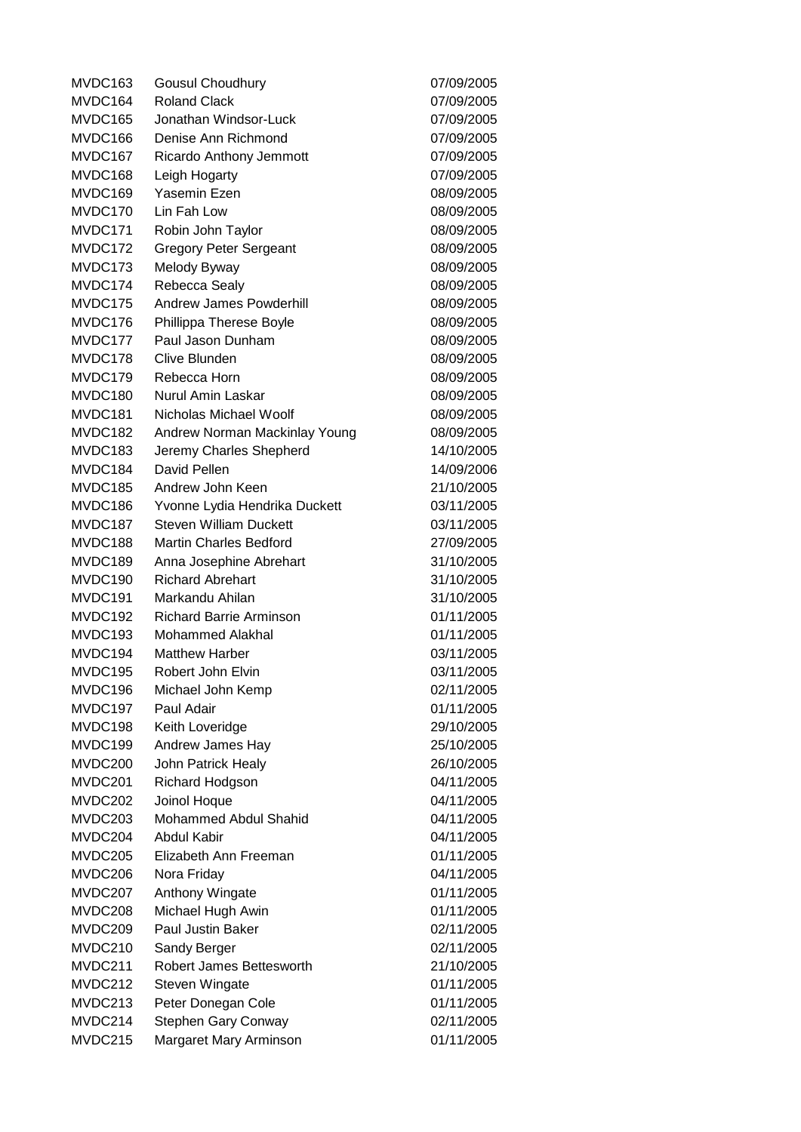MVDC163 Gousul Choudhury 07/09/2005 MVDC164 Roland Clack 07/09/2005 MVDC165 Jonathan Windsor-Luck 07/09/2005 MVDC166 Denise Ann Richmond 07/09/2005 MVDC167 Ricardo Anthony Jemmott 07/09/2005 MVDC168 Leigh Hogarty 07/09/2005 MVDC169 Yasemin Ezen 08/09/2005 MVDC170 Lin Fah Low 08/09/2005 MVDC171 Robin John Taylor 08/09/2005 MVDC172 Gregory Peter Sergeant 08/09/2005 MVDC173 Melody Byway 08/09/2005 MVDC174 Rebecca Sealy 08/09/2005 MVDC175 Andrew James Powderhill 08/09/2005 MVDC176 Phillippa Therese Boyle 08/09/2005 MVDC177 Paul Jason Dunham 08/09/2005 MVDC178 Clive Blunden 08/09/2005 MVDC179 Rebecca Horn 08/09/2005 MVDC180 Nurul Amin Laskar 08/09/2005 MVDC181 Nicholas Michael Woolf 08/09/2005 MVDC182 Andrew Norman Mackinlay Young 08/09/2005 MVDC183 Jeremy Charles Shepherd 14/10/2005 MVDC184 David Pellen 14/09/2006 MVDC185 Andrew John Keen 21/10/2005 MVDC186 Yvonne Lydia Hendrika Duckett 03/11/2005 MVDC187 Steven William Duckett 03/11/2005 MVDC188 Martin Charles Bedford 27/09/2005 MVDC189 Anna Josephine Abrehart 31/10/2005 MVDC190 Richard Abrehart 31/10/2005 MVDC191 Markandu Ahilan 31/10/2005 MVDC192 Richard Barrie Arminson 01/11/2005 MVDC193 Mohammed Alakhal 01/11/2005 MVDC194 Matthew Harber 03/11/2005 MVDC195 Robert John Elvin **1988** 03/11/2005 MVDC196 Michael John Kemp 02/11/2005 MVDC197 Paul Adair 01/11/2005 MVDC198 Keith Loveridge 29/10/2005 MVDC199 Andrew James Hay 25/10/2005 MVDC200 John Patrick Healy 26/10/2005 MVDC201 Richard Hodgson 04/11/2005 MVDC202 Joinol Hoque 04/11/2005 MVDC203 Mohammed Abdul Shahid 04/11/2005 MVDC204 Abdul Kabir 04/11/2005 MVDC205 Elizabeth Ann Freeman 01/11/2005 MVDC206 Nora Friday 04/11/2005 MVDC207 Anthony Wingate 01/11/2005 MVDC208 Michael Hugh Awin 01/11/2005 MVDC209 Paul Justin Baker 02/11/2005 MVDC210 Sandy Berger 02/11/2005 MVDC211 Robert James Bettesworth 21/10/2005 MVDC212 Steven Wingate 01/11/2005 MVDC213 Peter Donegan Cole 01/11/2005 MVDC214 Stephen Gary Conway 02/11/2005 MVDC215 Margaret Mary Arminson 01/11/2005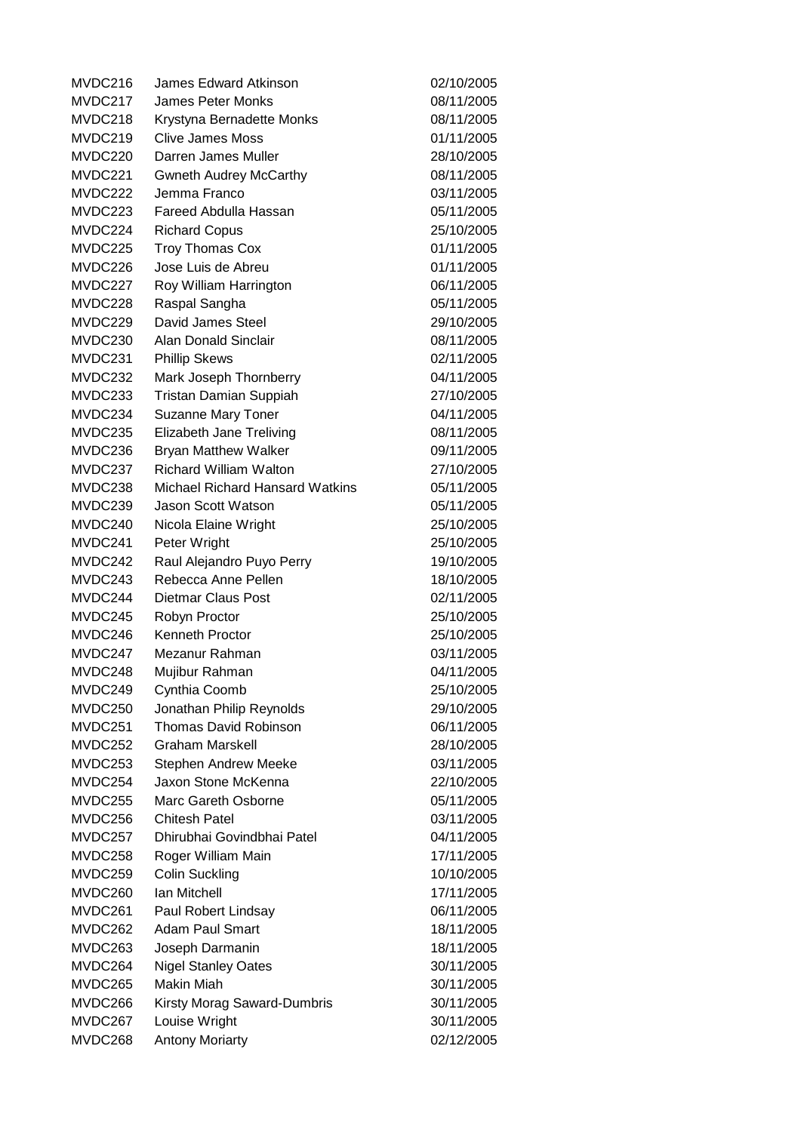MVDC216 James Edward Atkinson 02/10/2005 MVDC217 James Peter Monks 08/11/2005 MVDC218 Krystyna Bernadette Monks 08/11/2005 MVDC219 Clive James Moss 01/11/2005 MVDC220 Darren James Muller 28/10/2005 MVDC221 Gwneth Audrey McCarthy 08/11/2005 MVDC222 Jemma Franco 03/11/2005 MVDC223 Fareed Abdulla Hassan 05/11/2005 MVDC224 Richard Copus 25/10/2005 MVDC225 Troy Thomas Cox 01/11/2005 MVDC226 Jose Luis de Abreu 01/11/2005 MVDC227 Roy William Harrington 06/11/2005 MVDC228 Raspal Sangha 05/11/2005 MVDC229 David James Steel 29/10/2005 MVDC230 Alan Donald Sinclair **1980 11/2005** 08/11/2005 MVDC231 Phillip Skews 02/11/2005 MVDC232 Mark Joseph Thornberry 04/11/2005 MVDC233 Tristan Damian Suppiah 27/10/2005 MVDC234 Suzanne Mary Toner 04/11/2005 MVDC235 Elizabeth Jane Treliving 08/11/2005 MVDC236 Bryan Matthew Walker 09/11/2005 MVDC237 Richard William Walton 27/10/2005 MVDC238 Michael Richard Hansard Watkins 05/11/2005 MVDC239 Jason Scott Watson **1988** 05/11/2005 MVDC240 Nicola Elaine Wright 25/10/2005 MVDC241 Peter Wright 25/10/2005 MVDC242 Raul Alejandro Puyo Perry 19/10/2005 MVDC243 Rebecca Anne Pellen 18/10/2005 MVDC244 Dietmar Claus Post 02/11/2005 MVDC245 Robyn Proctor 25/10/2005 MVDC246 Kenneth Proctor 25/10/2005 MVDC247 Mezanur Rahman 03/11/2005 MVDC248 Mujibur Rahman 04/11/2005 MVDC249 Cynthia Coomb 25/10/2005 MVDC250 Jonathan Philip Reynolds 29/10/2005 MVDC251 Thomas David Robinson 06/11/2005 MVDC252 Graham Marskell 28/10/2005 MVDC253 Stephen Andrew Meeke 03/11/2005 MVDC254 Jaxon Stone McKenna 22/10/2005 MVDC255 Marc Gareth Osborne 05/11/2005 MVDC256 Chitesh Patel 03/11/2005 MVDC257 Dhirubhai Govindbhai Patel 04/11/2005 MVDC258 Roger William Main 17/11/2005 MVDC259 Colin Suckling 10/10/2005 MVDC260 Ian Mitchell 17/11/2005 MVDC261 Paul Robert Lindsay 06/11/2005 MVDC262 Adam Paul Smart 18/11/2005 MVDC263 Joseph Darmanin 18/11/2005 MVDC264 Nigel Stanley Oates 30/11/2005 MVDC265 Makin Miah 30/11/2005 MVDC266 Kirsty Morag Saward-Dumbris 30/11/2005 MVDC267 Louise Wright 30/11/2005 MVDC268 Antony Moriarty 02/12/2005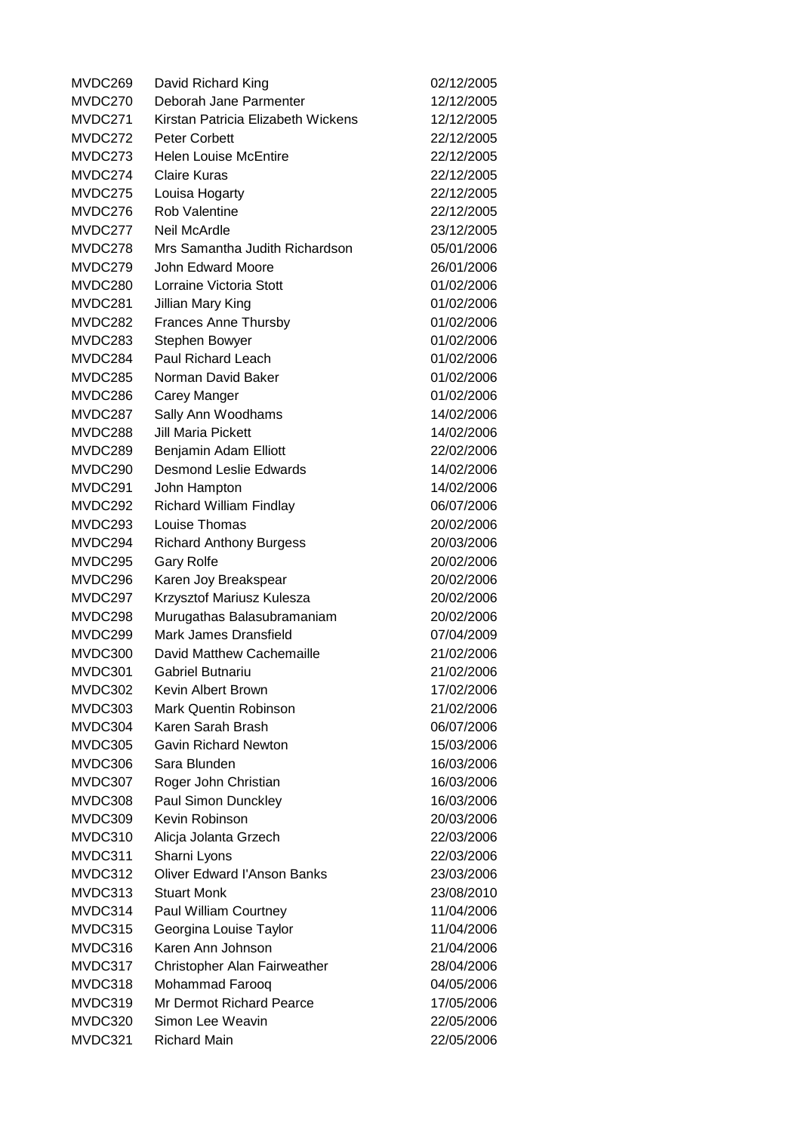| MVDC269 | David Richard King                 | 02/12/2005 |
|---------|------------------------------------|------------|
| MVDC270 | Deborah Jane Parmenter             | 12/12/2005 |
| MVDC271 | Kirstan Patricia Elizabeth Wickens | 12/12/2005 |
| MVDC272 | Peter Corbett                      | 22/12/2005 |
| MVDC273 | <b>Helen Louise McEntire</b>       | 22/12/2005 |
| MVDC274 | <b>Claire Kuras</b>                | 22/12/2005 |
| MVDC275 | Louisa Hogarty                     | 22/12/2005 |
| MVDC276 | <b>Rob Valentine</b>               | 22/12/2005 |
| MVDC277 | Neil McArdle                       | 23/12/2005 |
| MVDC278 | Mrs Samantha Judith Richardson     | 05/01/2006 |
| MVDC279 | <b>John Edward Moore</b>           | 26/01/2006 |
| MVDC280 | Lorraine Victoria Stott            | 01/02/2006 |
| MVDC281 | Jillian Mary King                  | 01/02/2006 |
| MVDC282 | <b>Frances Anne Thursby</b>        | 01/02/2006 |
| MVDC283 | Stephen Bowyer                     | 01/02/2006 |
| MVDC284 | Paul Richard Leach                 | 01/02/2006 |
| MVDC285 | Norman David Baker                 | 01/02/2006 |
| MVDC286 | Carey Manger                       | 01/02/2006 |
| MVDC287 | Sally Ann Woodhams                 | 14/02/2006 |
| MVDC288 | <b>Jill Maria Pickett</b>          | 14/02/2006 |
| MVDC289 | Benjamin Adam Elliott              | 22/02/2006 |
| MVDC290 | <b>Desmond Leslie Edwards</b>      | 14/02/2006 |
| MVDC291 | John Hampton                       | 14/02/2006 |
| MVDC292 | <b>Richard William Findlay</b>     | 06/07/2006 |
| MVDC293 | Louise Thomas                      | 20/02/2006 |
| MVDC294 | <b>Richard Anthony Burgess</b>     | 20/03/2006 |
| MVDC295 | <b>Gary Rolfe</b>                  | 20/02/2006 |
| MVDC296 | Karen Joy Breakspear               | 20/02/2006 |
| MVDC297 | Krzysztof Mariusz Kulesza          | 20/02/2006 |
| MVDC298 | Murugathas Balasubramaniam         | 20/02/2006 |
| MVDC299 | Mark James Dransfield              | 07/04/2009 |
| MVDC300 | David Matthew Cachemaille          | 21/02/2006 |
| MVDC301 | Gabriel Butnariu                   | 21/02/2006 |
| MVDC302 | Kevin Albert Brown                 | 17/02/2006 |
| MVDC303 | Mark Quentin Robinson              | 21/02/2006 |
| MVDC304 | Karen Sarah Brash                  | 06/07/2006 |
| MVDC305 | <b>Gavin Richard Newton</b>        | 15/03/2006 |
| MVDC306 | Sara Blunden                       | 16/03/2006 |
| MVDC307 | Roger John Christian               | 16/03/2006 |
| MVDC308 | Paul Simon Dunckley                | 16/03/2006 |
| MVDC309 | Kevin Robinson                     | 20/03/2006 |
| MVDC310 | Alicja Jolanta Grzech              | 22/03/2006 |
| MVDC311 | Sharni Lyons                       | 22/03/2006 |
| MVDC312 | <b>Oliver Edward l'Anson Banks</b> | 23/03/2006 |
| MVDC313 | <b>Stuart Monk</b>                 | 23/08/2010 |
| MVDC314 | Paul William Courtney              | 11/04/2006 |
| MVDC315 | Georgina Louise Taylor             | 11/04/2006 |
| MVDC316 | Karen Ann Johnson                  | 21/04/2006 |
| MVDC317 | Christopher Alan Fairweather       | 28/04/2006 |
| MVDC318 | Mohammad Farooq                    | 04/05/2006 |
| MVDC319 | Mr Dermot Richard Pearce           | 17/05/2006 |
| MVDC320 | Simon Lee Weavin                   | 22/05/2006 |
| MVDC321 | <b>Richard Main</b>                | 22/05/2006 |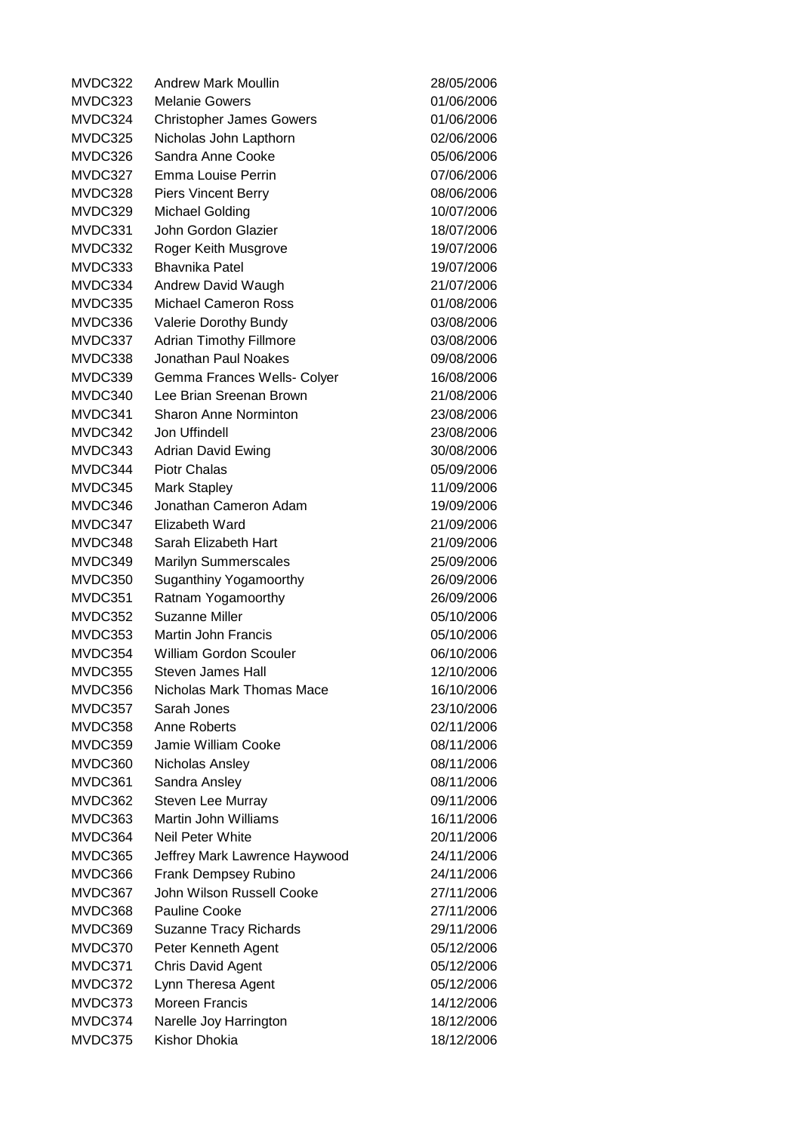MVDC322 Andrew Mark Moullin 28/05/2006 MVDC323 Melanie Gowers 01/06/2006 MVDC324 Christopher James Gowers 01/06/2006 MVDC325 Nicholas John Lapthorn 02/06/2006 MVDC326 Sandra Anne Cooke 05/06/2006 MVDC327 Emma Louise Perrin 07/06/2006 MVDC328 Piers Vincent Berry 08/06/2006 MVDC329 Michael Golding 10/07/2006 MVDC331 John Gordon Glazier 18/07/2006 MVDC332 Roger Keith Musgrove 19/07/2006 MVDC333 Bhavnika Patel 19/07/2006 MVDC334 Andrew David Waugh 21/07/2006 MVDC335 Michael Cameron Ross 01/08/2006 MVDC336 Valerie Dorothy Bundy 03/08/2006 MVDC337 Adrian Timothy Fillmore 03/08/2006 MVDC338 Jonathan Paul Noakes 09/08/2006 MVDC339 Gemma Frances Wells- Colyer 16/08/2006 MVDC340 Lee Brian Sreenan Brown 21/08/2006 MVDC341 Sharon Anne Norminton 23/08/2006 MVDC342 Jon Uffindell 23/08/2006 MVDC343 Adrian David Ewing 30/08/2006 MVDC344 Piotr Chalas 05/09/2006 MVDC345 Mark Stapley 11/09/2006 MVDC346 Jonathan Cameron Adam 19/09/2006 MVDC347 Elizabeth Ward 21/09/2006 MVDC348 Sarah Elizabeth Hart 21/09/2006 MVDC349 Marilyn Summerscales 25/09/2006 MVDC350 Suganthiny Yogamoorthy 26/09/2006 MVDC351 Ratnam Yogamoorthy 26/09/2006 MVDC352 Suzanne Miller 2006 105/10/2006 MVDC353 Martin John Francis 05/10/2006 MVDC354 William Gordon Scouler 06/10/2006 MVDC355 Steven James Hall 12/10/2006 MVDC356 Nicholas Mark Thomas Mace 16/10/2006 MVDC357 Sarah Jones 23/10/2006 MVDC358 Anne Roberts 02/11/2006 MVDC359 Jamie William Cooke 08/11/2006 MVDC360 Nicholas Ansley 08/11/2006 MVDC361 Sandra Ansley 08/11/2006 MVDC362 Steven Lee Murray 09/11/2006 MVDC363 Martin John Williams 16/11/2006 MVDC364 Neil Peter White 20/11/2006 MVDC365 Jeffrey Mark Lawrence Haywood 24/11/2006 MVDC366 Frank Dempsey Rubino 24/11/2006 MVDC367 John Wilson Russell Cooke 27/11/2006 MVDC368 Pauline Cooke 27/11/2006 MVDC369 Suzanne Tracy Richards 29/11/2006 MVDC370 Peter Kenneth Agent 05/12/2006 MVDC371 Chris David Agent 05/12/2006 MVDC372 Lynn Theresa Agent 05/12/2006 MVDC373 Moreen Francis 14/12/2006 MVDC374 Narelle Joy Harrington 18/12/2006 MVDC375 Kishor Dhokia 18/12/2006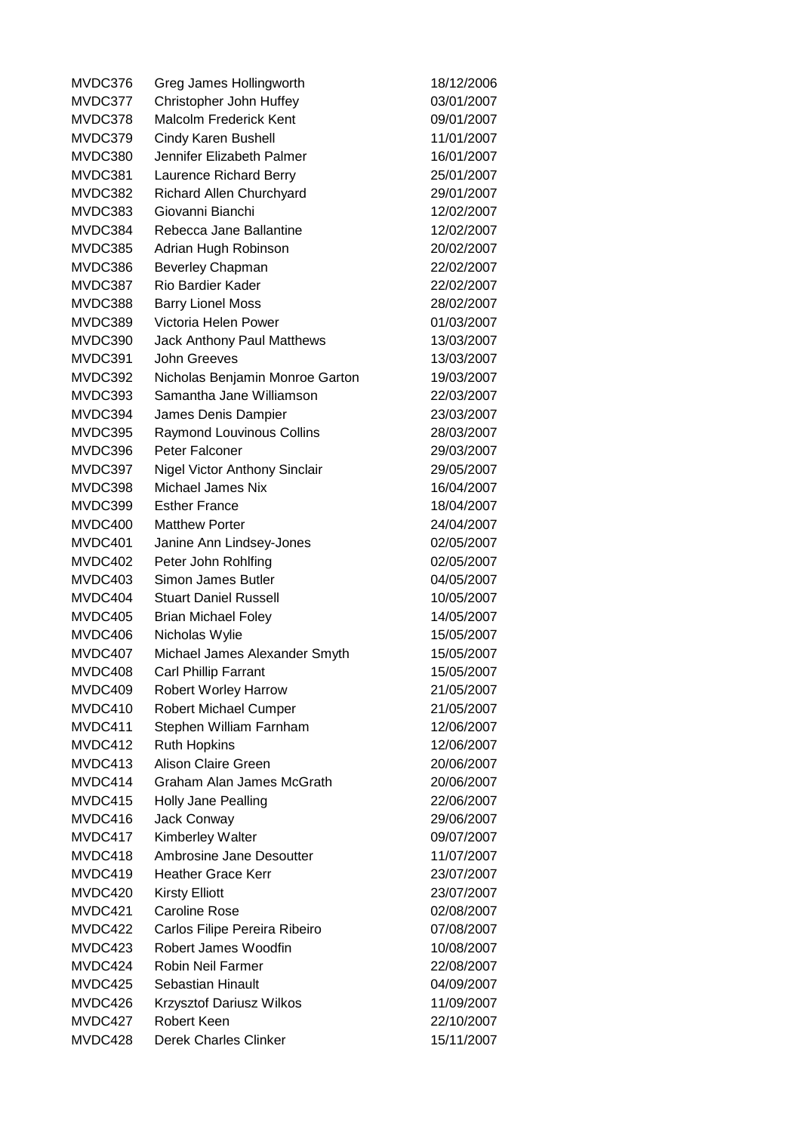MVDC376 Greg James Hollingworth 18/12/2006 MVDC377 Christopher John Huffey 03/01/2007 MVDC378 Malcolm Frederick Kent 09/01/2007 MVDC379 Cindy Karen Bushell 11/01/2007 MVDC380 Jennifer Elizabeth Palmer 16/01/2007 MVDC381 Laurence Richard Berry 25/01/2007 MVDC382 Richard Allen Churchyard 29/01/2007 MVDC383 Giovanni Bianchi 12/02/2007 MVDC384 Rebecca Jane Ballantine 12/02/2007 MVDC385 Adrian Hugh Robinson 20/02/2007 MVDC386 Beverley Chapman 22/02/2007 MVDC387 Rio Bardier Kader 22/02/2007 MVDC388 Barry Lionel Moss 28/02/2007 MVDC389 Victoria Helen Power 01/03/2007 MVDC390 Jack Anthony Paul Matthews 13/03/2007 MVDC391 John Greeves 13/03/2007 MVDC392 Nicholas Benjamin Monroe Garton 19/03/2007 MVDC393 Samantha Jane Williamson 22/03/2007 MVDC394 James Denis Dampier 23/03/2007 MVDC395 Raymond Louvinous Collins 28/03/2007 MVDC396 Peter Falconer 29/03/2007 MVDC397 Nigel Victor Anthony Sinclair 29/05/2007 MVDC398 Michael James Nix 16/04/2007 MVDC399 Esther France 18/04/2007 MVDC400 Matthew Porter 24/04/2007 MVDC401 Janine Ann Lindsey-Jones 02/05/2007 MVDC402 Peter John Rohlfing 02/05/2007 MVDC403 Simon James Butler 04/05/2007 MVDC404 Stuart Daniel Russell 10/05/2007 MVDC405 Brian Michael Foley 14/05/2007 MVDC406 Nicholas Wylie 15/05/2007 MVDC407 Michael James Alexander Smyth 15/05/2007 MVDC408 Carl Phillip Farrant 15/05/2007 MVDC409 Robert Worley Harrow 21/05/2007 MVDC410 Robert Michael Cumper 21/05/2007 MVDC411 Stephen William Farnham 12/06/2007 MVDC412 Ruth Hopkins 12/06/2007 MVDC413 Alison Claire Green 20/06/2007 MVDC414 Graham Alan James McGrath 20/06/2007 MVDC415 Holly Jane Pealling 22/06/2007 MVDC416 Jack Conway 29/06/2007 MVDC417 Kimberley Walter **Nights** 09/07/2007 MVDC418 Ambrosine Jane Desoutter 11/07/2007 MVDC419 Heather Grace Kerr 23/07/2007 MVDC420 Kirsty Elliott 23/07/2007 MVDC421 Caroline Rose 02/08/2007 MVDC422 Carlos Filipe Pereira Ribeiro 07/08/2007 MVDC423 Robert James Woodfin 10/08/2007 MVDC424 Robin Neil Farmer 22/08/2007 MVDC425 Sebastian Hinault 04/09/2007 MVDC426 Krzysztof Dariusz Wilkos 11/09/2007 MVDC427 Robert Keen 22/10/2007 MVDC428 Derek Charles Clinker 15/11/2007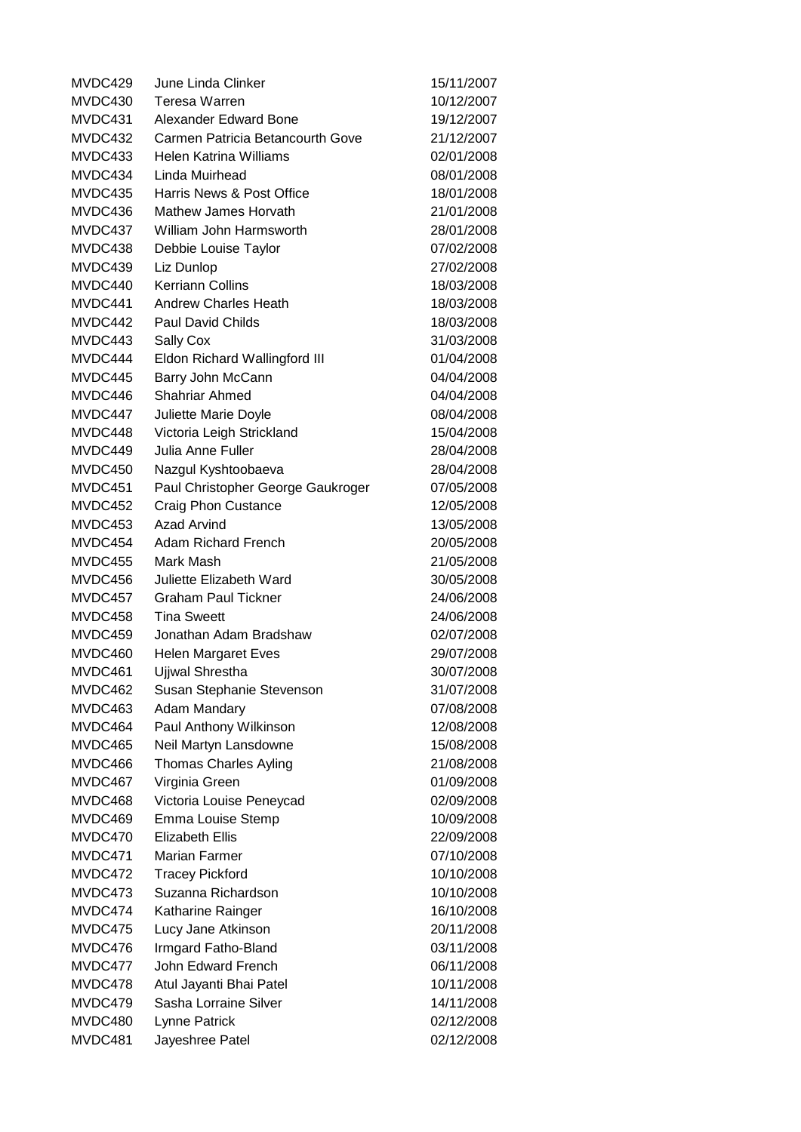| MVDC429 | June Linda Clinker                | 15/11/2007 |
|---------|-----------------------------------|------------|
| MVDC430 | Teresa Warren                     | 10/12/2007 |
| MVDC431 | <b>Alexander Edward Bone</b>      | 19/12/2007 |
| MVDC432 | Carmen Patricia Betancourth Gove  | 21/12/2007 |
| MVDC433 | Helen Katrina Williams            | 02/01/2008 |
| MVDC434 | Linda Muirhead                    | 08/01/2008 |
| MVDC435 | Harris News & Post Office         | 18/01/2008 |
| MVDC436 | Mathew James Horvath              | 21/01/2008 |
| MVDC437 | William John Harmsworth           | 28/01/2008 |
| MVDC438 | Debbie Louise Taylor              | 07/02/2008 |
| MVDC439 | Liz Dunlop                        | 27/02/2008 |
| MVDC440 | <b>Kerriann Collins</b>           | 18/03/2008 |
| MVDC441 | <b>Andrew Charles Heath</b>       | 18/03/2008 |
| MVDC442 | <b>Paul David Childs</b>          | 18/03/2008 |
| MVDC443 | Sally Cox                         | 31/03/2008 |
| MVDC444 | Eldon Richard Wallingford III     | 01/04/2008 |
| MVDC445 | Barry John McCann                 | 04/04/2008 |
| MVDC446 | Shahriar Ahmed                    | 04/04/2008 |
| MVDC447 | Juliette Marie Doyle              | 08/04/2008 |
| MVDC448 | Victoria Leigh Strickland         | 15/04/2008 |
| MVDC449 | <b>Julia Anne Fuller</b>          | 28/04/2008 |
| MVDC450 | Nazgul Kyshtoobaeva               | 28/04/2008 |
| MVDC451 | Paul Christopher George Gaukroger | 07/05/2008 |
| MVDC452 | <b>Craig Phon Custance</b>        | 12/05/2008 |
| MVDC453 | Azad Arvind                       | 13/05/2008 |
| MVDC454 | <b>Adam Richard French</b>        | 20/05/2008 |
| MVDC455 | Mark Mash                         | 21/05/2008 |
| MVDC456 | Juliette Elizabeth Ward           | 30/05/2008 |
| MVDC457 | <b>Graham Paul Tickner</b>        | 24/06/2008 |
| MVDC458 | <b>Tina Sweett</b>                | 24/06/2008 |
| MVDC459 | Jonathan Adam Bradshaw            | 02/07/2008 |
| MVDC460 | <b>Helen Margaret Eves</b>        | 29/07/2008 |
| MVDC461 | <b>Ujiwal Shrestha</b>            | 30/07/2008 |
| MVDC462 | Susan Stephanie Stevenson         | 31/07/2008 |
| MVDC463 | Adam Mandary                      | 07/08/2008 |
| MVDC464 | Paul Anthony Wilkinson            | 12/08/2008 |
| MVDC465 | Neil Martyn Lansdowne             | 15/08/2008 |
| MVDC466 | <b>Thomas Charles Ayling</b>      | 21/08/2008 |
| MVDC467 | Virginia Green                    | 01/09/2008 |
| MVDC468 | Victoria Louise Peneycad          | 02/09/2008 |
| MVDC469 | Emma Louise Stemp                 | 10/09/2008 |
| MVDC470 | <b>Elizabeth Ellis</b>            | 22/09/2008 |
| MVDC471 | Marian Farmer                     | 07/10/2008 |
| MVDC472 | <b>Tracey Pickford</b>            | 10/10/2008 |
| MVDC473 | Suzanna Richardson                | 10/10/2008 |
| MVDC474 | Katharine Rainger                 | 16/10/2008 |
| MVDC475 | Lucy Jane Atkinson                | 20/11/2008 |
| MVDC476 | Irmgard Fatho-Bland               | 03/11/2008 |
| MVDC477 | John Edward French                | 06/11/2008 |
| MVDC478 | Atul Jayanti Bhai Patel           | 10/11/2008 |
| MVDC479 | Sasha Lorraine Silver             | 14/11/2008 |
| MVDC480 | Lynne Patrick                     | 02/12/2008 |
| MVDC481 | Jayeshree Patel                   | 02/12/2008 |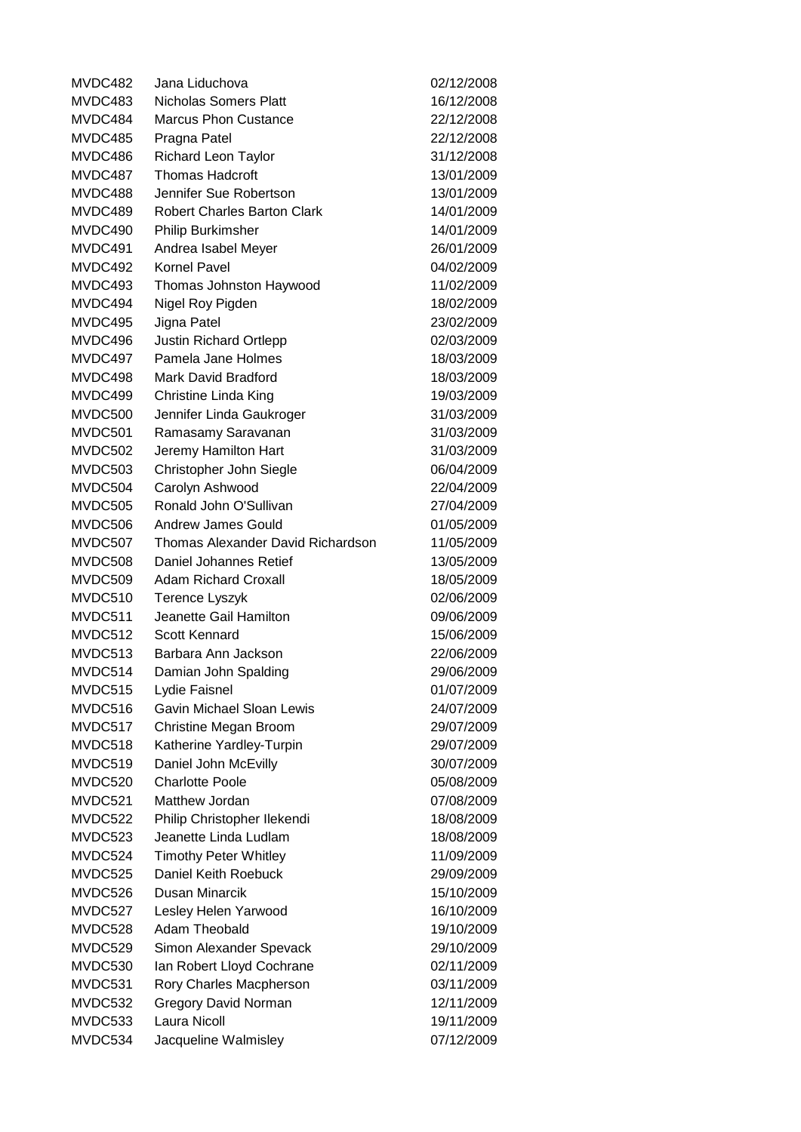MVDC482 Jana Liduchova 02/12/2008 MVDC483 Nicholas Somers Platt 16/12/2008 MVDC484 Marcus Phon Custance 22/12/2008 MVDC485 Pragna Patel 22/12/2008 MVDC486 Richard Leon Taylor 31/12/2008 MVDC487 Thomas Hadcroft 13/01/2009 MVDC488 Jennifer Sue Robertson 13/01/2009 MVDC489 Robert Charles Barton Clark 14/01/2009 MVDC490 Philip Burkimsher 14/01/2009 MVDC491 Andrea Isabel Meyer 26/01/2009 MVDC492 Kornel Pavel 2008 120 04/02/2009 MVDC493 Thomas Johnston Haywood 11/02/2009 MVDC494 Nigel Roy Pigden 18/02/2009 MVDC495 Jigna Patel 23/02/2009 MVDC496 Justin Richard Ortlepp 02/03/2009 MVDC497 Pamela Jane Holmes 18/03/2009 MVDC498 Mark David Bradford 18/03/2009 MVDC499 Christine Linda King 19/03/2009 MVDC500 Jennifer Linda Gaukroger 31/03/2009 MVDC501 Ramasamy Saravanan 31/03/2009 MVDC502 Jeremy Hamilton Hart 31/03/2009 MVDC503 Christopher John Siegle 06/04/2009 MVDC504 Carolyn Ashwood 22/04/2009 MVDC505 Ronald John O'Sullivan 27/04/2009 MVDC506 Andrew James Gould 01/05/2009 MVDC507 Thomas Alexander David Richardson 11/05/2009 MVDC508 Daniel Johannes Retief 13/05/2009 MVDC509 Adam Richard Croxall 18/05/2009 MVDC510 Terence Lyszyk 02/06/2009 MVDC511 Jeanette Gail Hamilton 09/06/2009 MVDC512 Scott Kennard 15/06/2009 MVDC513 Barbara Ann Jackson 22/06/2009 MVDC514 Damian John Spalding 29/06/2009 MVDC515 Lydie Faisnel 01/07/2009 MVDC516 Gavin Michael Sloan Lewis 24/07/2009 MVDC517 Christine Megan Broom 29/07/2009 MVDC518 Katherine Yardley-Turpin 29/07/2009 MVDC519 Daniel John McEvilly 30/07/2009 MVDC520 Charlotte Poole 05/08/2009 MVDC521 Matthew Jordan 2008/2009 MVDC522 Philip Christopher Ilekendi 18/08/2009 MVDC523 Jeanette Linda Ludlam 18/08/2009 MVDC524 Timothy Peter Whitley 11/09/2009 MVDC525 Daniel Keith Roebuck 29/09/2009 MVDC526 Dusan Minarcik 15/10/2009 MVDC527 Lesley Helen Yarwood 16/10/2009 MVDC528 Adam Theobald 19/10/2009 MVDC529 Simon Alexander Spevack 29/10/2009 MVDC530 Ian Robert Lloyd Cochrane 02/11/2009 MVDC531 Rory Charles Macpherson 03/11/2009 MVDC532 Gregory David Norman 12/11/2009 MVDC533 Laura Nicoll 19/11/2009 MVDC534 Jacqueline Walmisley 07/12/2009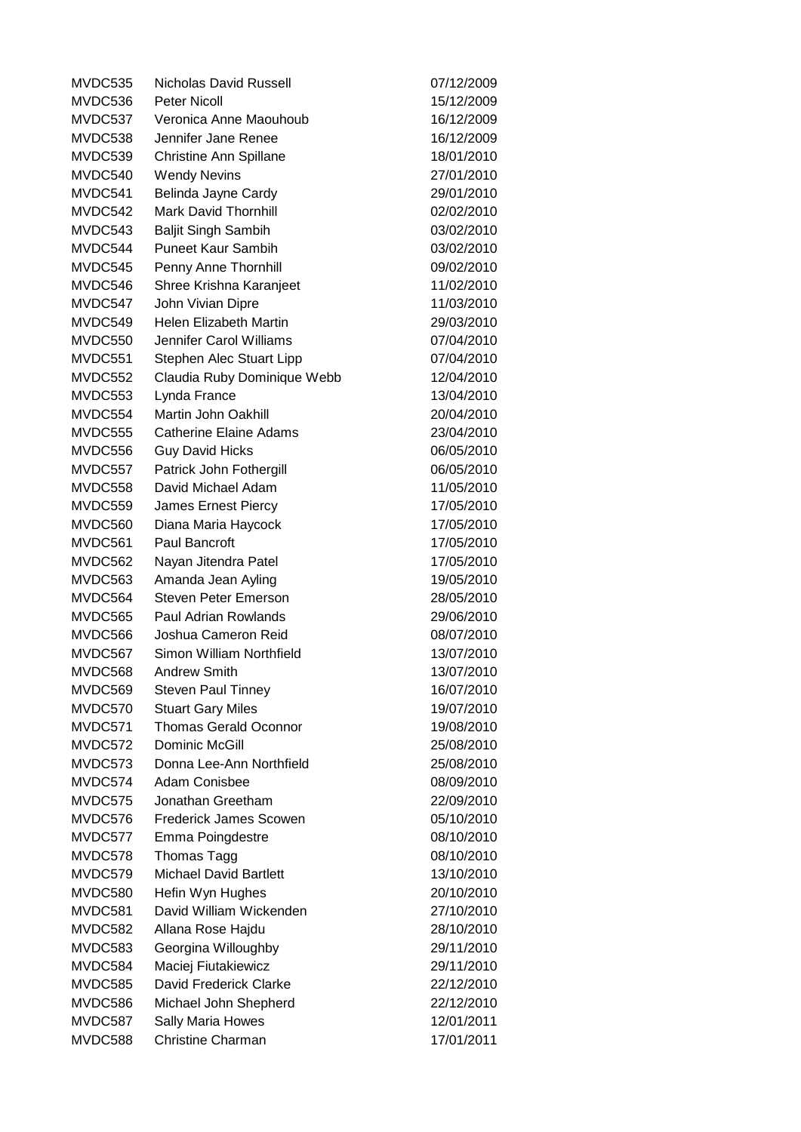MVDC535 Nicholas David Russell 07/12/2009 MVDC536 Peter Nicoll 15/12/2009 MVDC537 Veronica Anne Maouhoub 16/12/2009 MVDC538 Jennifer Jane Renee 16/12/2009 MVDC539 Christine Ann Spillane 18/01/2010 MVDC540 Wendy Nevins 27/01/2010 MVDC541 Belinda Jayne Cardy 29/01/2010 MVDC542 Mark David Thornhill 02/02/2010 MVDC543 Baljit Singh Sambih 03/02/2010 MVDC544 Puneet Kaur Sambih 03/02/2010 MVDC545 Penny Anne Thornhill 09/02/2010 MVDC546 Shree Krishna Karanjeet 11/02/2010 MVDC547 John Vivian Dipre 11/03/2010 MVDC549 Helen Elizabeth Martin 29/03/2010 MVDC550 Jennifer Carol Williams 07/04/2010 MVDC551 Stephen Alec Stuart Lipp 07/04/2010 MVDC552 Claudia Ruby Dominique Webb 12/04/2010 MVDC553 Lynda France 13/04/2010 MVDC554 Martin John Oakhill 20/04/2010 MVDC555 Catherine Elaine Adams 23/04/2010 MVDC556 Guy David Hicks 06/05/2010 MVDC557 Patrick John Fothergill 06/05/2010 MVDC558 David Michael Adam 11/05/2010 MVDC559 James Ernest Piercy 17/05/2010 MVDC560 Diana Maria Haycock 17/05/2010 MVDC561 Paul Bancroft 17/05/2010 MVDC562 Nayan Jitendra Patel 17/05/2010 MVDC563 Amanda Jean Ayling 19/05/2010 MVDC564 Steven Peter Emerson 28/05/2010 MVDC565 Paul Adrian Rowlands 29/06/2010 MVDC566 Joshua Cameron Reid 08/07/2010 MVDC567 Simon William Northfield 13/07/2010 MVDC568 Andrew Smith 13/07/2010 MVDC569 Steven Paul Tinney 16/07/2010 MVDC570 Stuart Gary Miles 19/07/2010 MVDC571 Thomas Gerald Oconnor 19/08/2010 MVDC572 Dominic McGill 25/08/2010 MVDC573 Donna Lee-Ann Northfield 25/08/2010 MVDC574 Adam Conisbee 08/09/2010 MVDC575 Jonathan Greetham 22/09/2010 MVDC576 Frederick James Scowen 05/10/2010 MVDC577 Emma Poingdestre 08/10/2010 MVDC578 Thomas Tagg 08/10/2010 MVDC579 Michael David Bartlett 13/10/2010 MVDC580 Hefin Wyn Hughes 20/10/2010 MVDC581 David William Wickenden 27/10/2010 MVDC582 Allana Rose Hajdu 28/10/2010 MVDC583 Georgina Willoughby 29/11/2010 MVDC584 Maciej Fiutakiewicz 29/11/2010 MVDC585 David Frederick Clarke 22/12/2010 MVDC586 Michael John Shepherd 22/12/2010 MVDC587 Sally Maria Howes 12/01/2011 MVDC588 Christine Charman 17/01/2011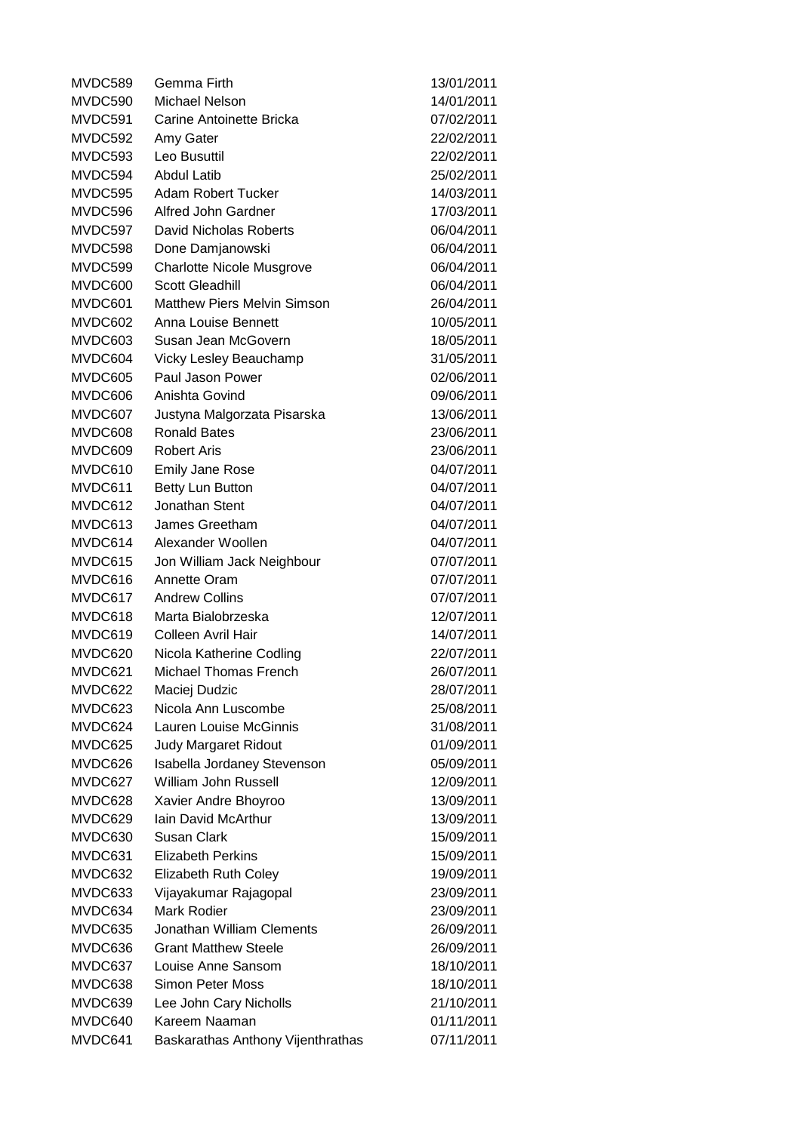| MVDC589 | Gemma Firth                        | 13/01/2011 |
|---------|------------------------------------|------------|
| MVDC590 | Michael Nelson                     | 14/01/2011 |
| MVDC591 | Carine Antoinette Bricka           | 07/02/2011 |
| MVDC592 | Amy Gater                          | 22/02/2011 |
| MVDC593 | Leo Busuttil                       | 22/02/2011 |
| MVDC594 | <b>Abdul Latib</b>                 | 25/02/2011 |
| MVDC595 | <b>Adam Robert Tucker</b>          | 14/03/2011 |
| MVDC596 | Alfred John Gardner                | 17/03/2011 |
| MVDC597 | David Nicholas Roberts             | 06/04/2011 |
| MVDC598 | Done Damjanowski                   | 06/04/2011 |
| MVDC599 | <b>Charlotte Nicole Musgrove</b>   | 06/04/2011 |
| MVDC600 | <b>Scott Gleadhill</b>             | 06/04/2011 |
| MVDC601 | <b>Matthew Piers Melvin Simson</b> | 26/04/2011 |
| MVDC602 | Anna Louise Bennett                | 10/05/2011 |
| MVDC603 | Susan Jean McGovern                | 18/05/2011 |
| MVDC604 | Vicky Lesley Beauchamp             | 31/05/2011 |
| MVDC605 | Paul Jason Power                   | 02/06/2011 |
| MVDC606 | Anishta Govind                     | 09/06/2011 |
| MVDC607 | Justyna Malgorzata Pisarska        | 13/06/2011 |
| MVDC608 | <b>Ronald Bates</b>                | 23/06/2011 |
| MVDC609 | <b>Robert Aris</b>                 | 23/06/2011 |
| MVDC610 | <b>Emily Jane Rose</b>             | 04/07/2011 |
| MVDC611 | Betty Lun Button                   | 04/07/2011 |
| MVDC612 | Jonathan Stent                     | 04/07/2011 |
| MVDC613 | James Greetham                     | 04/07/2011 |
| MVDC614 | Alexander Woollen                  | 04/07/2011 |
| MVDC615 | Jon William Jack Neighbour         | 07/07/2011 |
| MVDC616 | Annette Oram                       | 07/07/2011 |
| MVDC617 | <b>Andrew Collins</b>              | 07/07/2011 |
| MVDC618 | Marta Bialobrzeska                 | 12/07/2011 |
| MVDC619 | Colleen Avril Hair                 | 14/07/2011 |
| MVDC620 | Nicola Katherine Codling           | 22/07/2011 |
| MVDC621 | <b>Michael Thomas French</b>       | 26/07/2011 |
| MVDC622 | Maciej Dudzic                      | 28/07/2011 |
| MVDC623 | Nicola Ann Luscombe                | 25/08/2011 |
| MVDC624 | Lauren Louise McGinnis             | 31/08/2011 |
| MVDC625 | <b>Judy Margaret Ridout</b>        | 01/09/2011 |
| MVDC626 | Isabella Jordaney Stevenson        | 05/09/2011 |
| MVDC627 | William John Russell               | 12/09/2011 |
| MVDC628 | Xavier Andre Bhoyroo               | 13/09/2011 |
| MVDC629 | Iain David McArthur                | 13/09/2011 |
| MVDC630 | <b>Susan Clark</b>                 | 15/09/2011 |
| MVDC631 | <b>Elizabeth Perkins</b>           | 15/09/2011 |
| MVDC632 | Elizabeth Ruth Coley               | 19/09/2011 |
| MVDC633 | Vijayakumar Rajagopal              | 23/09/2011 |
| MVDC634 | Mark Rodier                        | 23/09/2011 |
| MVDC635 | Jonathan William Clements          | 26/09/2011 |
| MVDC636 | <b>Grant Matthew Steele</b>        | 26/09/2011 |
| MVDC637 | Louise Anne Sansom                 | 18/10/2011 |
| MVDC638 | Simon Peter Moss                   | 18/10/2011 |
| MVDC639 | Lee John Cary Nicholls             | 21/10/2011 |
| MVDC640 | Kareem Naaman                      | 01/11/2011 |
| MVDC641 | Baskarathas Anthony Vijenthrathas  | 07/11/2011 |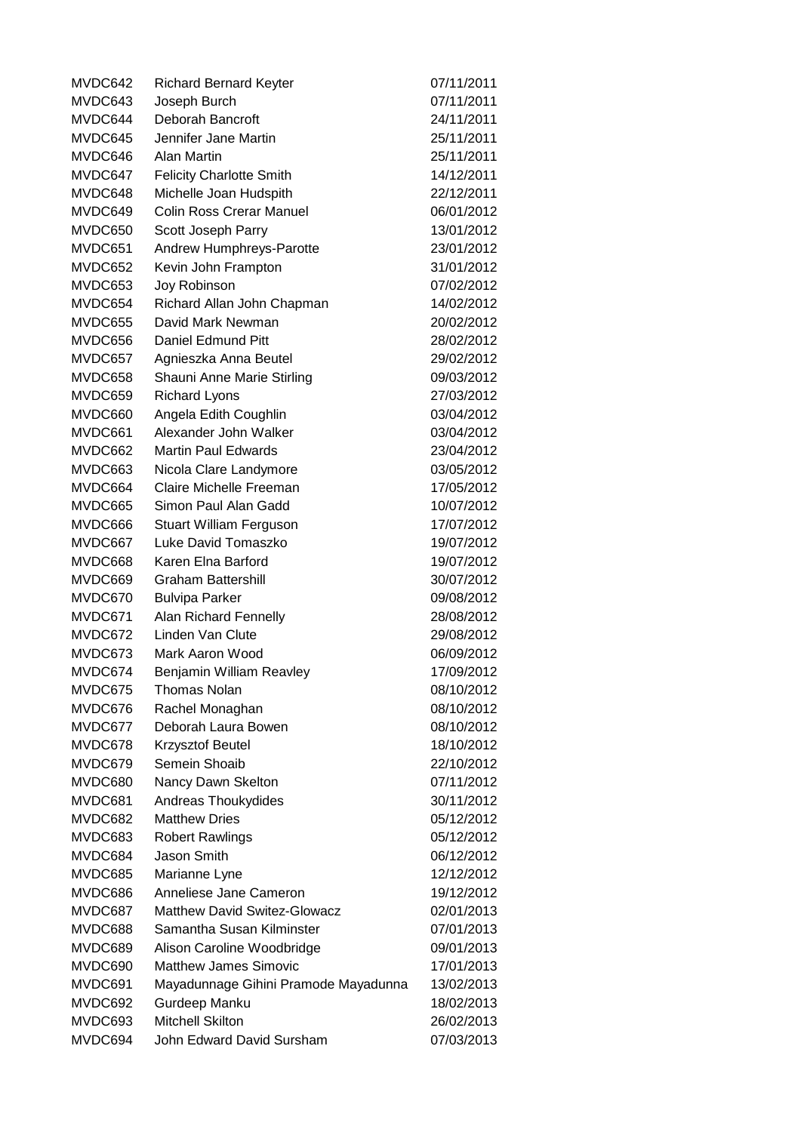| MVDC642            | <b>Richard Bernard Keyter</b>                         | 07/11/2011               |
|--------------------|-------------------------------------------------------|--------------------------|
| MVDC643            | Joseph Burch                                          | 07/11/2011               |
| MVDC644            | Deborah Bancroft                                      | 24/11/2011               |
| MVDC645            | Jennifer Jane Martin                                  | 25/11/2011               |
| MVDC646            | Alan Martin                                           | 25/11/2011               |
| MVDC647            | <b>Felicity Charlotte Smith</b>                       | 14/12/2011               |
| MVDC648            | Michelle Joan Hudspith                                | 22/12/2011               |
| MVDC649            | <b>Colin Ross Crerar Manuel</b>                       | 06/01/2012               |
| MVDC650            | Scott Joseph Parry                                    | 13/01/2012               |
| MVDC651            | Andrew Humphreys-Parotte                              | 23/01/2012               |
| MVDC652            | Kevin John Frampton                                   | 31/01/2012               |
| MVDC653            | Joy Robinson                                          | 07/02/2012               |
| MVDC654            | Richard Allan John Chapman                            | 14/02/2012               |
| MVDC655            | David Mark Newman                                     | 20/02/2012               |
| MVDC656            | Daniel Edmund Pitt                                    | 28/02/2012               |
| MVDC657            | Agnieszka Anna Beutel                                 | 29/02/2012               |
| MVDC658            | Shauni Anne Marie Stirling                            | 09/03/2012               |
| MVDC659            | <b>Richard Lyons</b>                                  | 27/03/2012               |
| MVDC660            | Angela Edith Coughlin                                 | 03/04/2012               |
| MVDC661            | Alexander John Walker                                 | 03/04/2012               |
| MVDC662            | <b>Martin Paul Edwards</b>                            | 23/04/2012               |
| MVDC663            | Nicola Clare Landymore                                | 03/05/2012               |
| MVDC664            | Claire Michelle Freeman                               | 17/05/2012               |
| MVDC665            | Simon Paul Alan Gadd                                  | 10/07/2012               |
| MVDC666            |                                                       | 17/07/2012               |
| MVDC667            | <b>Stuart William Ferguson</b><br>Luke David Tomaszko | 19/07/2012               |
|                    | Karen Elna Barford                                    |                          |
| MVDC668            |                                                       | 19/07/2012               |
| MVDC669            | <b>Graham Battershill</b>                             | 30/07/2012               |
| MVDC670<br>MVDC671 | <b>Bulvipa Parker</b>                                 | 09/08/2012               |
|                    | Alan Richard Fennelly<br>Linden Van Clute             | 28/08/2012               |
| MVDC672            |                                                       | 29/08/2012<br>06/09/2012 |
| MVDC673            | Mark Aaron Wood                                       |                          |
| MVDC674            | Benjamin William Reavley                              | 17/09/2012               |
| MVDC675            | Thomas Nolan                                          | 08/10/2012               |
| MVDC676            | Rachel Monaghan                                       | 08/10/2012               |
| MVDC677            | Deborah Laura Bowen                                   | 08/10/2012               |
| MVDC678            | <b>Krzysztof Beutel</b>                               | 18/10/2012               |
| MVDC679            | Semein Shoaib                                         | 22/10/2012               |
| MVDC680            | Nancy Dawn Skelton                                    | 07/11/2012               |
| MVDC681            | Andreas Thoukydides                                   | 30/11/2012               |
| MVDC682            | <b>Matthew Dries</b>                                  | 05/12/2012               |
| MVDC683            | <b>Robert Rawlings</b>                                | 05/12/2012               |
| MVDC684            | Jason Smith                                           | 06/12/2012               |
| MVDC685            | Marianne Lyne                                         | 12/12/2012               |
| MVDC686            | Anneliese Jane Cameron                                | 19/12/2012               |
| MVDC687            | <b>Matthew David Switez-Glowacz</b>                   | 02/01/2013               |
| MVDC688            | Samantha Susan Kilminster                             | 07/01/2013               |
| MVDC689            | Alison Caroline Woodbridge                            | 09/01/2013               |
| MVDC690            | <b>Matthew James Simovic</b>                          | 17/01/2013               |
| MVDC691            | Mayadunnage Gihini Pramode Mayadunna                  | 13/02/2013               |
| MVDC692            | Gurdeep Manku                                         | 18/02/2013               |
| MVDC693            | <b>Mitchell Skilton</b>                               | 26/02/2013               |
| MVDC694            | John Edward David Sursham                             | 07/03/2013               |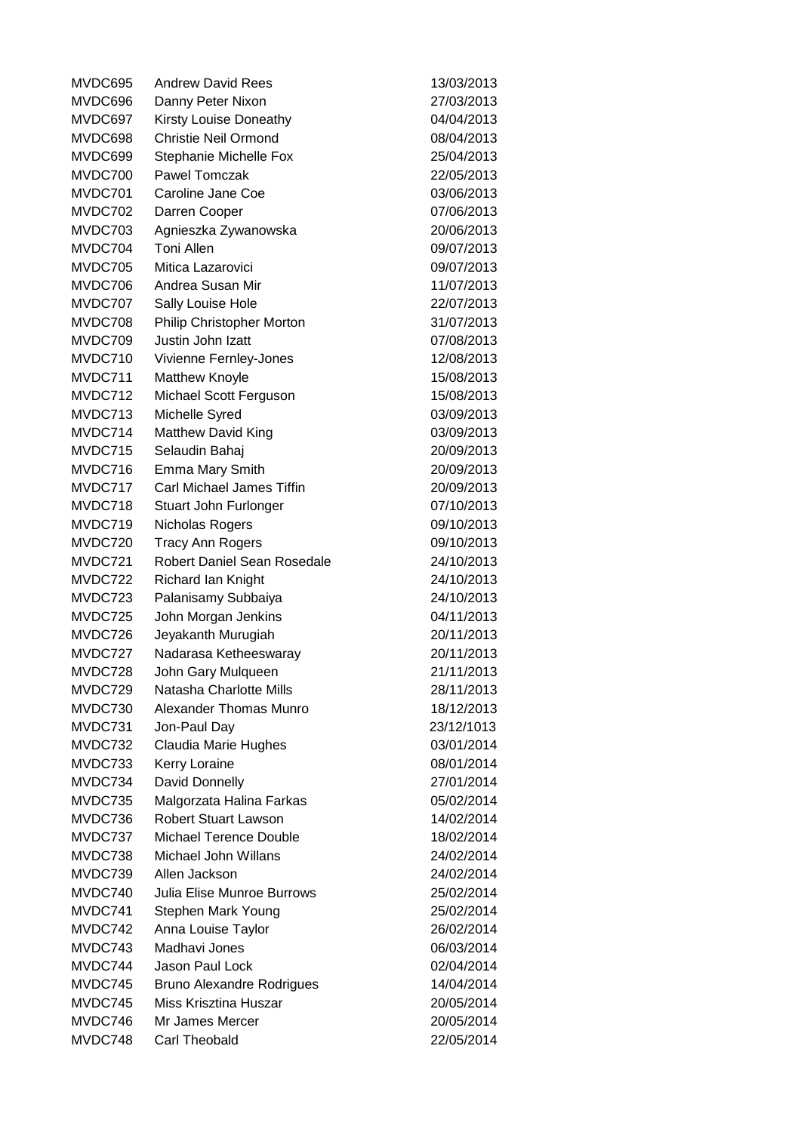MVDC695 Andrew David Rees 13/03/2013 MVDC696 Danny Peter Nixon 27/03/2013 MVDC697 Kirsty Louise Doneathy 04/04/2013 MVDC698 Christie Neil Ormond 08/04/2013 MVDC699 Stephanie Michelle Fox 25/04/2013 MVDC700 Pawel Tomczak 22/05/2013 MVDC701 Caroline Jane Coe 03/06/2013 MVDC702 Darren Cooper 07/06/2013 MVDC703 Agnieszka Zywanowska 20/06/2013 MVDC704 Toni Allen 09/07/2013 MVDC705 Mitica Lazarovici 09/07/2013 MVDC706 Andrea Susan Mir 11/07/2013 MVDC707 Sally Louise Hole 22/07/2013 MVDC708 Philip Christopher Morton 31/07/2013 MVDC709 Justin John Izatt 07/08/2013 MVDC710 Vivienne Fernley-Jones 12/08/2013 MVDC711 Matthew Knoyle 15/08/2013 MVDC712 Michael Scott Ferguson 15/08/2013 MVDC713 Michelle Syred 03/09/2013 MVDC714 Matthew David King 03/09/2013 MVDC715 Selaudin Bahaj 20/09/2013 MVDC716 Emma Mary Smith 20/09/2013 MVDC717 Carl Michael James Tiffin 20/09/2013 MVDC718 Stuart John Furlonger 07/10/2013 MVDC719 Nicholas Rogers 09/10/2013 MVDC720 Tracy Ann Rogers 09/10/2013 MVDC721 Robert Daniel Sean Rosedale 24/10/2013 MVDC722 Richard Ian Knight 24/10/2013 MVDC723 Palanisamy Subbaiya 24/10/2013 MVDC725 John Morgan Jenkins 04/11/2013 MVDC726 Jeyakanth Murugiah 20/11/2013 MVDC727 Nadarasa Ketheeswaray 20/11/2013 MVDC728 John Gary Mulqueen 21/11/2013 MVDC729 Natasha Charlotte Mills 28/11/2013 MVDC730 Alexander Thomas Munro 18/12/2013 MVDC731 Jon-Paul Day 23/12/1013 MVDC732 Claudia Marie Hughes 03/01/2014 MVDC733 Kerry Loraine 08/01/2014 MVDC734 David Donnelly 27/01/2014 MVDC735 Malgorzata Halina Farkas 05/02/2014 MVDC736 Robert Stuart Lawson 14/02/2014 MVDC737 Michael Terence Double 18/02/2014 MVDC738 Michael John Willans 24/02/2014 MVDC739 Allen Jackson 24/02/2014 MVDC740 Julia Elise Munroe Burrows 25/02/2014 MVDC741 Stephen Mark Young 25/02/2014 MVDC742 Anna Louise Taylor 26/02/2014 MVDC743 Madhavi Jones 06/03/2014 MVDC744 Jason Paul Lock 02/04/2014 MVDC745 Bruno Alexandre Rodrigues 14/04/2014 MVDC745 Miss Krisztina Huszar 20/05/2014 MVDC746 Mr James Mercer 20/05/2014 MVDC748 Carl Theobald 22/05/2014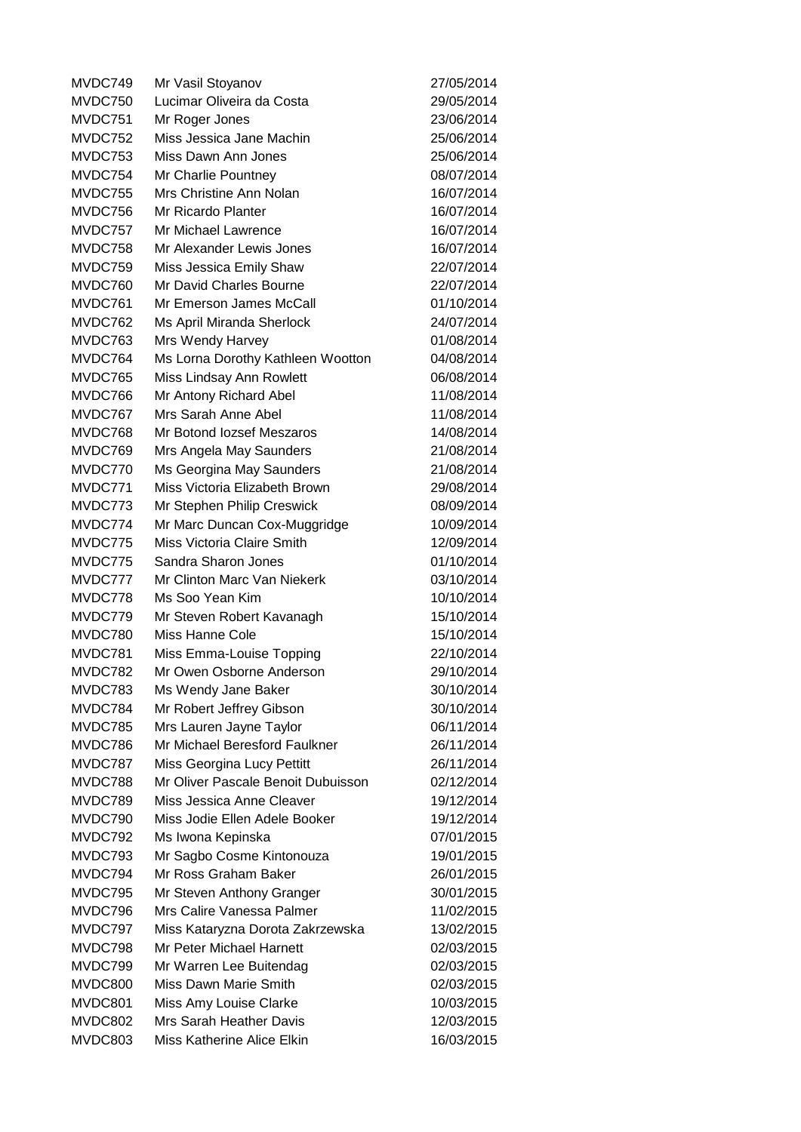MVDC749 Mr Vasil Stoyanov 27/05/2014 MVDC750 Lucimar Oliveira da Costa 29/05/2014 MVDC751 Mr Roger Jones 23/06/2014 MVDC752 Miss Jessica Jane Machin 25/06/2014 MVDC753 Miss Dawn Ann Jones 25/06/2014 MVDC754 Mr Charlie Pountney 08/07/2014 MVDC755 Mrs Christine Ann Nolan 16/07/2014 MVDC756 Mr Ricardo Planter 16/07/2014 MVDC757 Mr Michael Lawrence 16/07/2014 MVDC758 Mr Alexander Lewis Jones 16/07/2014 MVDC759 Miss Jessica Emily Shaw 22/07/2014 MVDC760 Mr David Charles Bourne 22/07/2014 MVDC761 Mr Emerson James McCall 01/10/2014 MVDC762 Ms April Miranda Sherlock 24/07/2014 MVDC763 Mrs Wendy Harvey 201008/2014 MVDC764 Ms Lorna Dorothy Kathleen Wootton 04/08/2014 MVDC765 Miss Lindsay Ann Rowlett 06/08/2014 MVDC766 Mr Antony Richard Abel 11/08/2014 MVDC767 Mrs Sarah Anne Abel 11/08/2014 MVDC768 Mr Botond Iozsef Meszaros 14/08/2014 MVDC769 Mrs Angela May Saunders 21/08/2014 MVDC770 Ms Georgina May Saunders 21/08/2014 MVDC771 Miss Victoria Elizabeth Brown 29/08/2014 MVDC773 Mr Stephen Philip Creswick 08/09/2014 MVDC774 Mr Marc Duncan Cox-Muggridge 10/09/2014 MVDC775 Miss Victoria Claire Smith 12/09/2014 MVDC775 Sandra Sharon Jones 01/10/2014 MVDC777 Mr Clinton Marc Van Niekerk 03/10/2014 MVDC778 Ms Soo Yean Kim 10/10/2014 MVDC779 Mr Steven Robert Kavanagh 15/10/2014 MVDC780 Miss Hanne Cole 15/10/2014 MVDC781 Miss Emma-Louise Topping 22/10/2014 MVDC782 Mr Owen Osborne Anderson 29/10/2014 MVDC783 Ms Wendy Jane Baker 30/10/2014 MVDC784 Mr Robert Jeffrey Gibson 30/10/2014 MVDC785 Mrs Lauren Jayne Taylor 06/11/2014 MVDC786 Mr Michael Beresford Faulkner 26/11/2014 MVDC787 Miss Georgina Lucy Pettitt 26/11/2014 MVDC788 Mr Oliver Pascale Benoit Dubuisson 02/12/2014 MVDC789 Miss Jessica Anne Cleaver 19/12/2014 MVDC790 Miss Jodie Ellen Adele Booker 19/12/2014 MVDC792 Ms Iwona Kepinska 1986 1997/01/2015 MVDC793 Mr Sagbo Cosme Kintonouza 19/01/2015 MVDC794 Mr Ross Graham Baker 26/01/2015 MVDC795 Mr Steven Anthony Granger 30/01/2015 MVDC796 Mrs Calire Vanessa Palmer 11/02/2015 MVDC797 Miss Kataryzna Dorota Zakrzewska 13/02/2015 MVDC798 Mr Peter Michael Harnett 02/03/2015 MVDC799 Mr Warren Lee Buitendag 02/03/2015 MVDC800 Miss Dawn Marie Smith 02/03/2015 MVDC801 Miss Amy Louise Clarke 10/03/2015 MVDC802 Mrs Sarah Heather Davis 12/03/2015 MVDC803 Miss Katherine Alice Elkin 16/03/2015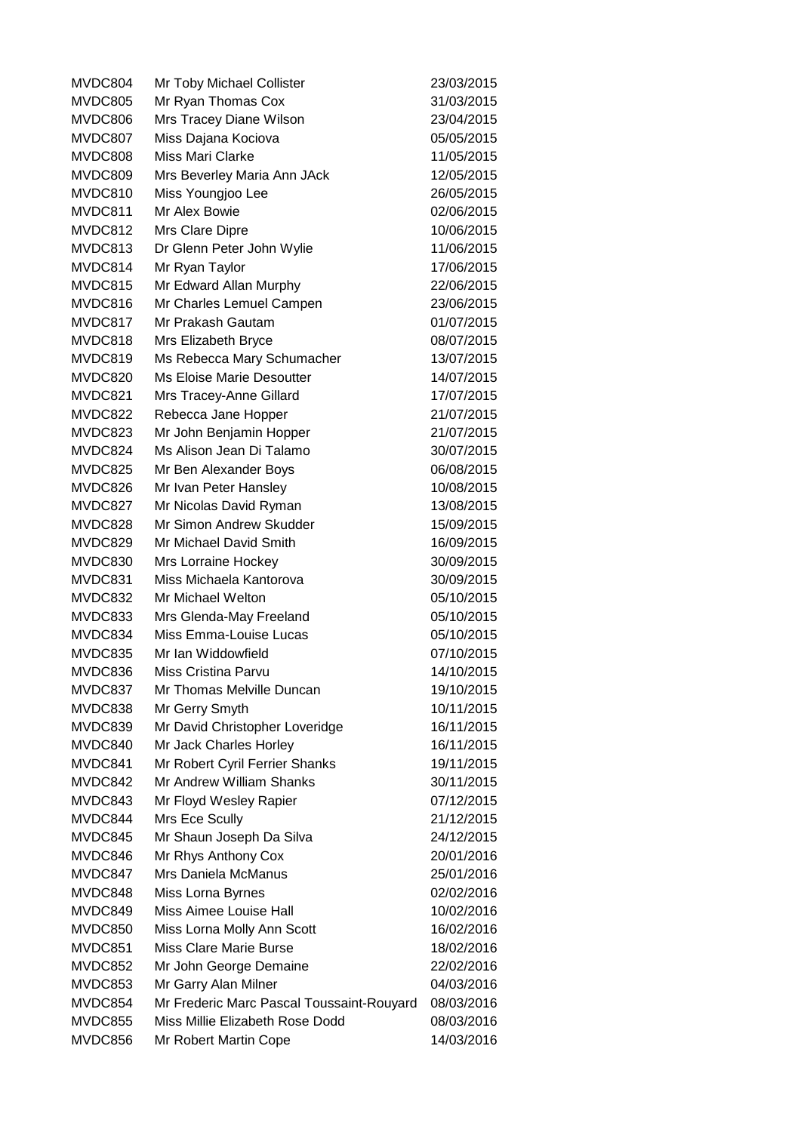MVDC804 Mr Toby Michael Collister 23/03/2015 MVDC805 Mr Ryan Thomas Cox 31/03/2015 MVDC806 Mrs Tracey Diane Wilson 23/04/2015 MVDC807 Miss Dajana Kociova 05/05/2015 MVDC808 Miss Mari Clarke 11/05/2015 MVDC809 Mrs Beverley Maria Ann JAck 12/05/2015 MVDC810 Miss Youngjoo Lee 26/05/2015 MVDC811 Mr Alex Bowie 02/06/2015 MVDC812 Mrs Clare Dipre 10/06/2015 MVDC813 Dr Glenn Peter John Wylie 11/06/2015 MVDC814 Mr Ryan Taylor 17/06/2015 MVDC815 Mr Edward Allan Murphy 22/06/2015 MVDC816 Mr Charles Lemuel Campen 23/06/2015 MVDC817 Mr Prakash Gautam 01/07/2015 MVDC818 Mrs Elizabeth Bryce 08/07/2015 MVDC819 Ms Rebecca Mary Schumacher 13/07/2015 MVDC820 Ms Eloise Marie Desoutter 14/07/2015 MVDC821 Mrs Tracey-Anne Gillard 17/07/2015 MVDC822 Rebecca Jane Hopper 21/07/2015 MVDC823 Mr John Benjamin Hopper 21/07/2015 MVDC824 Ms Alison Jean Di Talamo 30/07/2015 MVDC825 Mr Ben Alexander Boys 06/08/2015 MVDC826 Mr Ivan Peter Hansley 10/08/2015 MVDC827 Mr Nicolas David Ryman 13/08/2015 MVDC828 Mr Simon Andrew Skudder 15/09/2015 MVDC829 Mr Michael David Smith 16/09/2015 MVDC830 Mrs Lorraine Hockey 30/09/2015 MVDC831 Miss Michaela Kantorova 30/09/2015 MVDC832 Mr Michael Welton 05/10/2015 MVDC833 Mrs Glenda-May Freeland 05/10/2015 MVDC834 Miss Emma-Louise Lucas 05/10/2015 MVDC835 Mr Ian Widdowfield 07/10/2015 MVDC836 Miss Cristina Parvu 14/10/2015 MVDC837 Mr Thomas Melville Duncan 19/10/2015 MVDC838 Mr Gerry Smyth 10/11/2015 MVDC839 Mr David Christopher Loveridge 16/11/2015 MVDC840 Mr Jack Charles Horley 16/11/2015 MVDC841 Mr Robert Cyril Ferrier Shanks 19/11/2015 MVDC842 Mr Andrew William Shanks 30/11/2015 MVDC843 Mr Floyd Wesley Rapier 07/12/2015 MVDC844 Mrs Ece Scully 21/12/2015 MVDC845 Mr Shaun Joseph Da Silva 24/12/2015 MVDC846 Mr Rhys Anthony Cox 20/01/2016 MVDC847 Mrs Daniela McManus 25/01/2016 MVDC848 Miss Lorna Byrnes 02/02/2016 MVDC849 Miss Aimee Louise Hall 10/02/2016 MVDC850 Miss Lorna Molly Ann Scott 16/02/2016 MVDC851 Miss Clare Marie Burse 18/02/2016 MVDC852 Mr John George Demaine 22/02/2016 MVDC853 Mr Garry Alan Milner 2008/2016 MVDC854 Mr Frederic Marc Pascal Toussaint-Rouyard 08/03/2016 MVDC855 Miss Millie Elizabeth Rose Dodd 08/03/2016 MVDC856 Mr Robert Martin Cope 14/03/2016